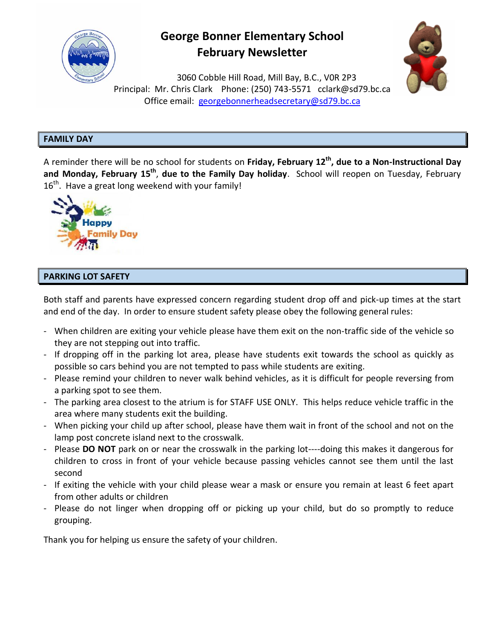

# **George Bonner Elementary School February Newsletter**



3060 Cobble Hill Road, Mill Bay, B.C., V0R 2P3 Principal: Mr. Chris Clark Phone: (250) 743-5571 [cclark@sd79.bc.ca](mailto:cclark@sd79.bc.ca) Office email: [georgebonnerheadsecretary@sd79.bc.ca](mailto:georgebonnerheadsecretary@sd79.bc.ca)

## **FAMILY DAY**

A reminder there will be no school for students on **Friday, February 12 th , due to a Non-Instructional Day**  and Monday, February 15<sup>th</sup>, due to the Family Day holiday. School will reopen on Tuesday, February  $16^{\text{th}}$ . Have a great long weekend with your family!



## **PARKING LOT SAFETY**

Both staff and parents have expressed concern regarding student drop off and pick-up times at the start and end of the day. In order to ensure student safety please obey the following general rules:

- When children are exiting your vehicle please have them exit on the non-traffic side of the vehicle so they are not stepping out into traffic.
- If dropping off in the parking lot area, please have students exit towards the school as quickly as possible so cars behind you are not tempted to pass while students are exiting.
- Please remind your children to never walk behind vehicles, as it is difficult for people reversing from a parking spot to see them.
- The parking area closest to the atrium is for STAFF USE ONLY. This helps reduce vehicle traffic in the area where many students exit the building.
- When picking your child up after school, please have them wait in front of the school and not on the lamp post concrete island next to the crosswalk.
- Please **DO NOT** park on or near the crosswalk in the parking lot----doing this makes it dangerous for children to cross in front of your vehicle because passing vehicles cannot see them until the last second
- If exiting the vehicle with your child please wear a mask or ensure you remain at least 6 feet apart from other adults or children
- Please do not linger when dropping off or picking up your child, but do so promptly to reduce grouping.

Thank you for helping us ensure the safety of your children.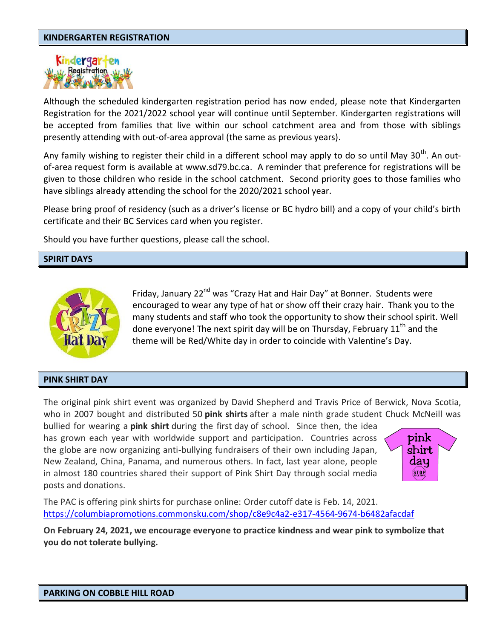## **KINDERGARTEN REGISTRATION**



Although the scheduled kindergarten registration period has now ended, please note that Kindergarten Registration for the 2021/2022 school year will continue until September. Kindergarten registrations will be accepted from families that live within our school catchment area and from those with siblings presently attending with out-of-area approval (the same as previous years).

Any family wishing to register their child in a different school may apply to do so until May 30<sup>th</sup>. An outof-area request form is available at www.sd79.bc.ca. A reminder that preference for registrations will be given to those children who reside in the school catchment. Second priority goes to those families who have siblings already attending the school for the 2020/2021 school year.

Please bring proof of residency (such as a driver's license or BC hydro bill) and a copy of your child's birth certificate and their BC Services card when you register.

Should you have further questions, please call the school.

#### **SPIRIT DAYS**



Friday, January 22<sup>nd</sup> was "Crazy Hat and Hair Day" at Bonner. Students were encouraged to wear any type of hat or show off their crazy hair. Thank you to the many students and staff who took the opportunity to show their school spirit. Well done everyone! The next spirit day will be on Thursday, February  $11<sup>th</sup>$  and the theme will be Red/White day in order to coincide with Valentine's Day.

#### **PINK SHIRT DAY**

The original pink shirt event was organized by David Shepherd and Travis Price of Berwick, Nova Scotia, who in 2007 bought and distributed 50 **pink shirts** after a male ninth grade student Chuck McNeill was

bullied for wearing a **pink shirt** during the first day of school. Since then, the idea has grown each year with worldwide support and participation. Countries across the globe are now organizing anti-bullying fundraisers of their own including Japan, New Zealand, China, Panama, and numerous others. In fact, last year alone, people in almost 180 countries shared their support of Pink Shirt Day through social media posts and donations.



The PAC is offering pink shirts for purchase online: Order cutoff date is Feb. 14, 2021. <https://columbiapromotions.commonsku.com/shop/c8e9c4a2-e317-4564-9674-b6482afacdaf>

**On February 24, 2021, we encourage everyone to practice kindness and wear pink to symbolize that you do not tolerate bullying.**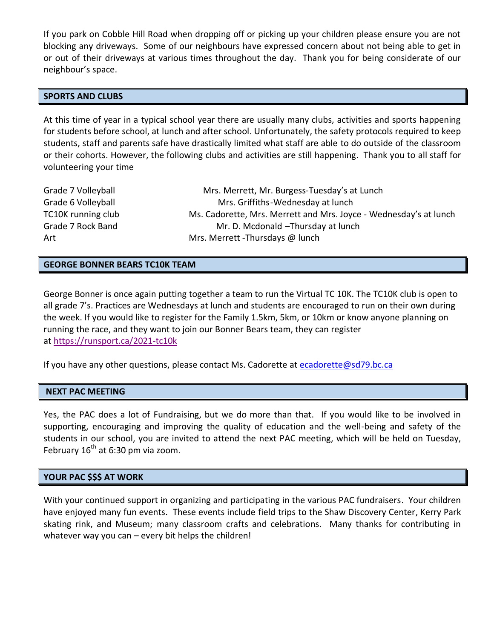If you park on Cobble Hill Road when dropping off or picking up your children please ensure you are not blocking any driveways. Some of our neighbours have expressed concern about not being able to get in or out of their driveways at various times throughout the day. Thank you for being considerate of our neighbour's space.

## **SPORTS AND CLUBS**

At this time of year in a typical school year there are usually many clubs, activities and sports happening for students before school, at lunch and after school. Unfortunately, the safety protocols required to keep students, staff and parents safe have drastically limited what staff are able to do outside of the classroom or their cohorts. However, the following clubs and activities are still happening. Thank you to all staff for volunteering your time

| Grade 7 Volleyball | Mrs. Merrett, Mr. Burgess-Tuesday's at Lunch                      |
|--------------------|-------------------------------------------------------------------|
| Grade 6 Volleyball | Mrs. Griffiths-Wednesday at lunch                                 |
| TC10K running club | Ms. Cadorette, Mrs. Merrett and Mrs. Joyce - Wednesday's at lunch |
| Grade 7 Rock Band  | Mr. D. Mcdonald -Thursday at lunch                                |
| Art                | Mrs. Merrett - Thursdays @ lunch                                  |

## **GEORGE BONNER BEARS TC10K TEAM**

George Bonner is once again putting together a team to run the Virtual TC 10K. The TC10K club is open to all grade 7's. Practices are Wednesdays at lunch and students are encouraged to run on their own during the week. If you would like to register for the Family 1.5km, 5km, or 10km or know anyone planning on running the race, and they want to join our Bonner Bears team, they can register at <https://runsport.ca/2021-tc10k>

If you have any other questions, please contact Ms. Cadorette at [ecadorette@sd79.bc.ca](mailto:ecadorette@sd79.bc.ca)

#### **NEXT PAC MEETING**

Yes, the PAC does a lot of Fundraising, but we do more than that. If you would like to be involved in supporting, encouraging and improving the quality of education and the well-being and safety of the students in our school, you are invited to attend the next PAC meeting, which will be held on Tuesday, February 16<sup>th</sup> at 6:30 pm via zoom.

## **YOUR PAC \$\$\$ AT WORK**

With your continued support in organizing and participating in the various PAC fundraisers. Your children have enjoyed many fun events. These events include field trips to the Shaw Discovery Center, Kerry Park skating rink, and Museum; many classroom crafts and celebrations. Many thanks for contributing in whatever way you can – every bit helps the children!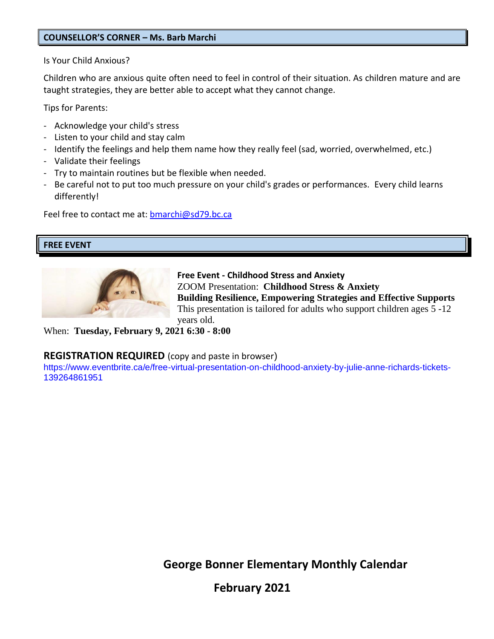## **COUNSELLOR'S CORNER – Ms. Barb Marchi**

Is Your Child Anxious?

Children who are anxious quite often need to feel in control of their situation. As children mature and are taught strategies, they are better able to accept what they cannot change.

Tips for Parents:

- Acknowledge your child's stress
- Listen to your child and stay calm
- Identify the feelings and help them name how they really feel (sad, worried, overwhelmed, etc.)
- Validate their feelings
- Try to maintain routines but be flexible when needed.
- Be careful not to put too much pressure on your child's grades or performances. Every child learns differently!

Feel free to contact me at: [bmarchi@sd79.bc.ca](mailto:bmarchi@sd79.bc.ca)

## **FREE EVENT**



**Free Event - Childhood Stress and Anxiety** ZOOM Presentation: **Childhood Stress & Anxiety Building Resilience, Empowering Strategies and Effective Supports** This presentation is tailored for adults who support children ages 5 -12 years old.

When: **Tuesday, February 9, 2021 6:30 - 8:00**

# **REGISTRATION REQUIRED** (copy and paste in browser)

https://www.eventbrite.ca/e/free-virtual-presentation-on-childhood-anxiety-by-julie-anne-richards-tickets-139264861951

 **George Bonner Elementary Monthly Calendar**

**February 2021**